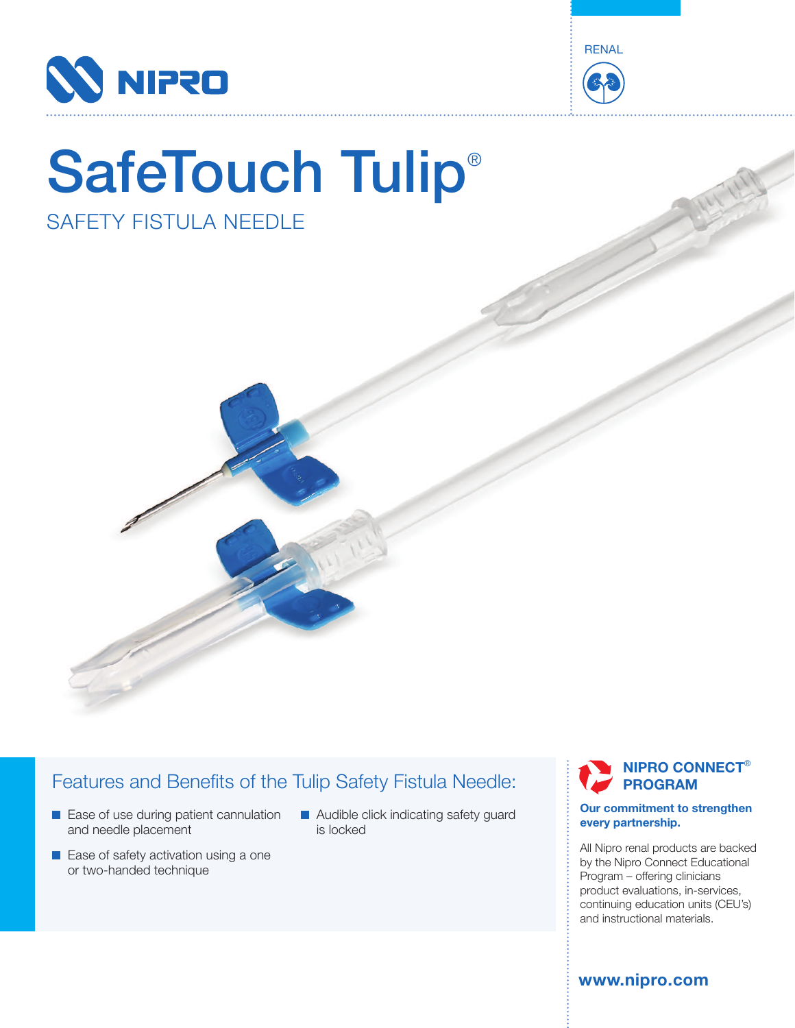



# SafeTouch Tulip® SAFETY FISTULA NEEDLE



## Features and Benefits of the Tulip Safety Fistula Needle:

- Ease of use during patient cannulation and needle placement
- Ease of safety activation using a one or two-handed technique
- **Audible click indicating safety guard** is locked

**NIPRO CONNECT**® **PROGRAM**

#### **Our commitment to strengthen every partnership.**

All Nipro renal products are backed by the Nipro Connect Educational Program – offering clinicians product evaluations, in-services, continuing education units (CEU's) and instructional materials.